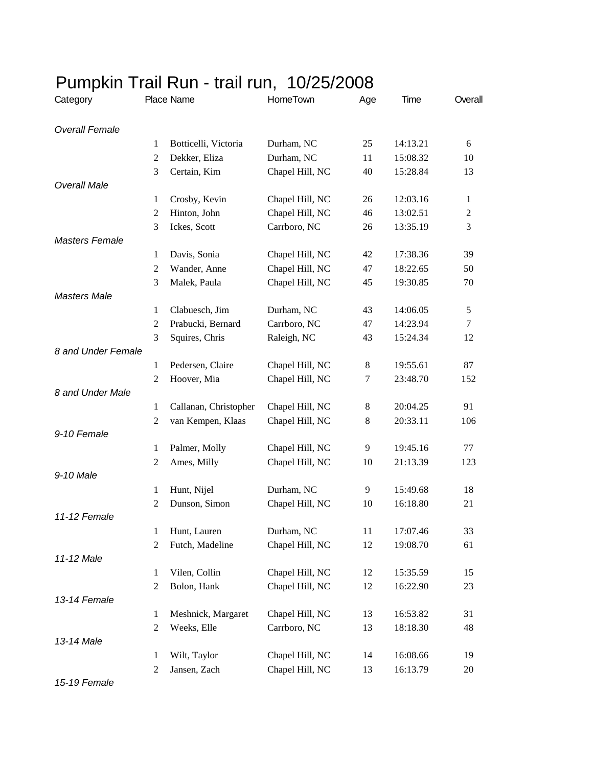| Category              | Place Name          |                       | HomeTown        | Age     | Time     | Overall        |
|-----------------------|---------------------|-----------------------|-----------------|---------|----------|----------------|
| <b>Overall Female</b> |                     |                       |                 |         |          |                |
|                       | $\mathbf{1}$        | Botticelli, Victoria  | Durham, NC      | 25      | 14:13.21 | 6              |
|                       | $\mathfrak{2}$      | Dekker, Eliza         | Durham, NC      | 11      | 15:08.32 | 10             |
|                       | 3                   | Certain, Kim          | Chapel Hill, NC | 40      | 15:28.84 | 13             |
| <b>Overall Male</b>   |                     |                       |                 |         |          |                |
|                       | $\mathbf{1}$        | Crosby, Kevin         | Chapel Hill, NC | 26      | 12:03.16 | $\mathbf{1}$   |
|                       | $\mathfrak{2}$      | Hinton, John          | Chapel Hill, NC | 46      | 13:02.51 | $\overline{2}$ |
|                       | 3                   | Ickes, Scott          | Carrboro, NC    | 26      | 13:35.19 | 3              |
| <b>Masters Female</b> |                     |                       |                 |         |          |                |
|                       | 1                   | Davis, Sonia          | Chapel Hill, NC | 42      | 17:38.36 | 39             |
|                       | 2                   | Wander, Anne          | Chapel Hill, NC | 47      | 18:22.65 | 50             |
|                       | 3                   | Malek, Paula          | Chapel Hill, NC | 45      | 19:30.85 | 70             |
| <b>Masters Male</b>   |                     |                       |                 |         |          |                |
|                       | 1                   | Clabuesch, Jim        | Durham, NC      | 43      | 14:06.05 | 5              |
|                       | $\mathfrak{2}$      | Prabucki, Bernard     | Carrboro, NC    | 47      | 14:23.94 | $\tau$         |
|                       | 3                   | Squires, Chris        | Raleigh, NC     | 43      | 15:24.34 | 12             |
| 8 and Under Female    |                     |                       |                 |         |          |                |
|                       | 1                   | Pedersen, Claire      | Chapel Hill, NC | 8       | 19:55.61 | 87             |
|                       | $\overline{2}$      | Hoover, Mia           | Chapel Hill, NC | 7       | 23:48.70 | 152            |
| 8 and Under Male      |                     |                       |                 |         |          |                |
|                       | 1                   | Callanan, Christopher | Chapel Hill, NC | 8       | 20:04.25 | 91             |
|                       | $\mathfrak{2}$      | van Kempen, Klaas     | Chapel Hill, NC | $\,8\,$ | 20:33.11 | 106            |
| 9-10 Female           |                     |                       |                 |         |          |                |
|                       | 1                   | Palmer, Molly         | Chapel Hill, NC | 9       | 19:45.16 | 77             |
|                       | $\overline{2}$      | Ames, Milly           | Chapel Hill, NC | 10      | 21:13.39 | 123            |
| 9-10 Male             |                     |                       |                 |         |          |                |
|                       | $\mathbf{1}$        | Hunt, Nijel           | Durham, NC      | 9       | 15:49.68 | 18             |
|                       | 2                   | Dunson, Simon         | Chapel Hill, NC | 10      | 16:18.80 | 21             |
| 11-12 Female          |                     |                       | Durham, NC      | 11      | 17:07.46 | 33             |
|                       | 1<br>$\mathfrak{2}$ | Hunt, Lauren          | Chapel Hill, NC |         |          |                |
| 11-12 Male            |                     | Futch, Madeline       |                 | 12      | 19:08.70 | 61             |
|                       | 1                   | Vilen, Collin         | Chapel Hill, NC | 12      | 15:35.59 | 15             |
|                       | $\boldsymbol{2}$    | Bolon, Hank           | Chapel Hill, NC | 12      | 16:22.90 | 23             |
| 13-14 Female          |                     |                       |                 |         |          |                |
|                       | $\mathbf{1}$        | Meshnick, Margaret    | Chapel Hill, NC | 13      | 16:53.82 | 31             |
|                       | $\mathfrak{2}$      | Weeks, Elle           | Carrboro, NC    | 13      | 18:18.30 | 48             |
| 13-14 Male            |                     |                       |                 |         |          |                |
|                       | $\mathbf{1}$        | Wilt, Taylor          | Chapel Hill, NC | 14      | 16:08.66 | 19             |
|                       | $\mathfrak{2}$      | Jansen, Zach          | Chapel Hill, NC | 13      | 16:13.79 | 20             |
|                       |                     |                       |                 |         |          |                |

## Pumpkin Trail Run - trail run, 10/25/2008

*15-19 Female*